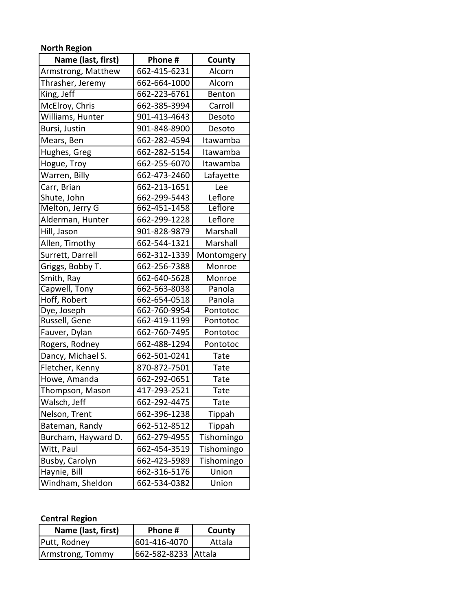## **North Region**

| Phone#<br>Name (last, first) |              | County      |
|------------------------------|--------------|-------------|
| Armstrong, Matthew           | 662-415-6231 | Alcorn      |
| Thrasher, Jeremy             | 662-664-1000 | Alcorn      |
| King, Jeff                   | 662-223-6761 | Benton      |
| McElroy, Chris               | 662-385-3994 | Carroll     |
| Williams, Hunter             | 901-413-4643 | Desoto      |
| Bursi, Justin                | 901-848-8900 | Desoto      |
| Mears, Ben                   | 662-282-4594 | Itawamba    |
| Hughes, Greg                 | 662-282-5154 | Itawamba    |
| Hogue, Troy                  | 662-255-6070 | Itawamba    |
| Warren, Billy                | 662-473-2460 | Lafayette   |
| Carr, Brian                  | 662-213-1651 | Lee         |
| Shute, John                  | 662-299-5443 | Leflore     |
| Melton, Jerry G              | 662-451-1458 | Leflore     |
| Alderman, Hunter             | 662-299-1228 | Leflore     |
| Hill, Jason                  | 901-828-9879 | Marshall    |
| Allen, Timothy               | 662-544-1321 | Marshall    |
| Surrett, Darrell             | 662-312-1339 | Montomgery  |
| Griggs, Bobby T.             | 662-256-7388 | Monroe      |
| Smith, Ray                   | 662-640-5628 | Monroe      |
| Capwell, Tony                | 662-563-8038 | Panola      |
| Hoff, Robert                 | 662-654-0518 | Panola      |
| Dye, Joseph                  | 662-760-9954 | Pontotoc    |
| Russell, Gene                | 662-419-1199 | Pontotoc    |
| Fauver, Dylan                | 662-760-7495 | Pontotoc    |
| Rogers, Rodney               | 662-488-1294 | Pontotoc    |
| Dancy, Michael S.            | 662-501-0241 | Tate        |
| Fletcher, Kenny              | 870-872-7501 | Tate        |
| Howe, Amanda                 | 662-292-0651 | Tate        |
| Thompson, Mason              | 417-293-2521 | <b>Tate</b> |
| Walsch, Jeff                 | 662-292-4475 | Tate        |
| Nelson, Trent                | 662-396-1238 | Tippah      |
| Bateman, Randy               | 662-512-8512 | Tippah      |
| Burcham, Hayward D.          | 662-279-4955 | Tishomingo  |
| Witt, Paul                   | 662-454-3519 | Tishomingo  |
| Busby, Carolyn               | 662-423-5989 | Tishomingo  |
| Haynie, Bill                 | 662-316-5176 | Union       |
| Windham, Sheldon             | 662-534-0382 | Union       |

## **Central Region**

| Name (last, first) | Phone #             | County |
|--------------------|---------------------|--------|
| Putt, Rodney       | 601-416-4070        | Attala |
| Armstrong, Tommy   | 662-582-8233 Attala |        |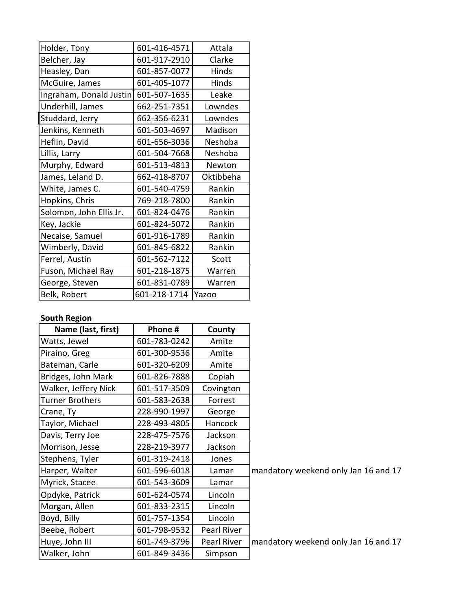| Holder, Tony            | 601-416-4571 | Attala    |
|-------------------------|--------------|-----------|
| Belcher, Jay            | 601-917-2910 | Clarke    |
| Heasley, Dan            | 601-857-0077 | Hinds     |
| McGuire, James          | 601-405-1077 | Hinds     |
| Ingraham, Donald Justin | 601-507-1635 | Leake     |
| Underhill, James        | 662-251-7351 | Lowndes   |
| Studdard, Jerry         | 662-356-6231 | Lowndes   |
| Jenkins, Kenneth        | 601-503-4697 | Madison   |
| Heflin, David           | 601-656-3036 | Neshoba   |
| Lillis, Larry           | 601-504-7668 | Neshoba   |
| Murphy, Edward          | 601-513-4813 | Newton    |
| James, Leland D.        | 662-418-8707 | Oktibbeha |
|                         | 601-540-4759 |           |
| White, James C.         |              | Rankin    |
| Hopkins, Chris          | 769-218-7800 | Rankin    |
| Solomon, John Ellis Jr. | 601-824-0476 | Rankin    |
| Key, Jackie             | 601-824-5072 | Rankin    |
| Necaise, Samuel         | 601-916-1789 | Rankin    |
| Wimberly, David         | 601-845-6822 | Rankin    |
| Ferrel, Austin          | 601-562-7122 | Scott     |
| Fuson, Michael Ray      | 601-218-1875 | Warren    |
| George, Steven          | 601-831-0789 | Warren    |

## **South Region**

| Name (last, first)     | Phone #      | County      |                                      |
|------------------------|--------------|-------------|--------------------------------------|
| Watts, Jewel           | 601-783-0242 | Amite       |                                      |
| Piraino, Greg          | 601-300-9536 | Amite       |                                      |
| Bateman, Carle         | 601-320-6209 | Amite       |                                      |
| Bridges, John Mark     | 601-826-7888 | Copiah      |                                      |
| Walker, Jeffery Nick   | 601-517-3509 | Covington   |                                      |
| <b>Turner Brothers</b> | 601-583-2638 | Forrest     |                                      |
| Crane, Ty              | 228-990-1997 | George      |                                      |
| Taylor, Michael        | 228-493-4805 | Hancock     |                                      |
| Davis, Terry Joe       | 228-475-7576 | Jackson     |                                      |
| Morrison, Jesse        | 228-219-3977 | Jackson     |                                      |
| Stephens, Tyler        | 601-319-2418 | Jones       |                                      |
| Harper, Walter         | 601-596-6018 | Lamar       | mandatory weekend only Jan 16 and 17 |
| Myrick, Stacee         | 601-543-3609 | Lamar       |                                      |
| Opdyke, Patrick        | 601-624-0574 | Lincoln     |                                      |
| Morgan, Allen          | 601-833-2315 | Lincoln     |                                      |
| Boyd, Billy            | 601-757-1354 | Lincoln     |                                      |
| Beebe, Robert          | 601-798-9532 | Pearl River |                                      |
| Huye, John III         | 601-749-3796 | Pearl River | mandatory weekend only Jan 16 and 17 |
| Walker, John           | 601-849-3436 | Simpson     |                                      |